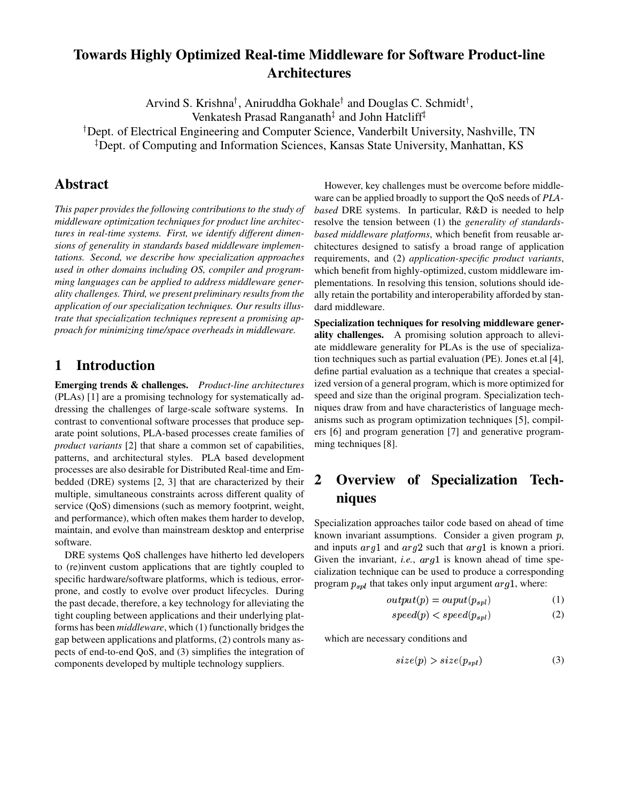## **Towards Highly Optimized Real-time Middleware for Software Product-line Architectures**

Arvind S. Krishna<sup>†</sup>, Aniruddha Gokhale<sup>†</sup> and Douglas C. Schmidt<sup>†</sup>,

Venkatesh Prasad Ranganath‡ and John Hatcliff‡

Dept. of Electrical Engineering and Computer Science, Vanderbilt University, Nashville, TN

Dept. of Computing and Information Sciences, Kansas State University, Manhattan, KS

### **Abstract**

*This paper provides the following contributions to the study of middleware optimization techniques for product line architectures in real-time systems. First, we identify different dimensions of generality in standards based middleware implementations. Second, we describe how specialization approaches used in other domains including OS, compiler and programming languages can be applied to address middleware generality challenges. Third, we present preliminary results from the application of our specialization techniques. Our results illustrate that specialization techniques represent a promising approach for minimizing time/space overheads in middleware.*

### **1 Introduction**

**Emerging trends & challenges.** *Product-line architectures* (PLAs) [1] are a promising technology for systematically addressing the challenges of large-scale software systems. In contrast to conventional software processes that produce separate point solutions, PLA-based processes create families of *product variants* [2] that share a common set of capabilities, patterns, and architectural styles. PLA based development processes are also desirable for Distributed Real-time and Embedded (DRE) systems [2, 3] that are characterized by their multiple, simultaneous constraints across different quality of service (QoS) dimensions (such as memory footprint, weight, and performance), which often makes them harder to develop, maintain, and evolve than mainstream desktop and enterprise software.

DRE systems QoS challenges have hitherto led developers to (re)invent custom applications that are tightly coupled to specific hardware/software platforms, which is tedious, errorprone, and costly to evolve over product lifecycles. During the past decade, therefore, a key technology for alleviating the tight coupling between applications and their underlying platforms has been *middleware*, which (1) functionally bridges the gap between applications and platforms, (2) controls many aspects of end-to-end QoS, and (3) simplifies the integration of components developed by multiple technology suppliers.

However, key challenges must be overcome before middleware can be applied broadly to support the QoS needs of *PLAbased* DRE systems. In particular, R&D is needed to help resolve the tension between (1) the *generality of standardsbased middleware platforms*, which benefit from reusable architectures designed to satisfy a broad range of application requirements, and (2) *application-specific product variants*, which benefit from highly-optimized, custom middleware implementations. In resolving this tension, solutions should ideally retain the portability and interoperability afforded by standard middleware.

**Specialization techniques for resolving middleware generality challenges.** A promising solution approach to alleviate middleware generality for PLAs is the use of specialization techniques such as partial evaluation (PE). Jones et.al [4], define partial evaluation as a technique that creates a specialized version of a general program, which is more optimized for speed and size than the original program. Specialization techniques draw from and have characteristics of language mechanisms such as program optimization techniques [5], compilers [6] and program generation [7] and generative programming techniques [8].

# **2 Overview of Specialization Techniques**

Specialization approaches tailor code based on ahead of time known invariant assumptions. Consider a given program  $p$ , and inputs  $arg1$  and  $arg2$  such that  $arg1$  is known a priori. Given the invariant, *i.e.*,  $arg1$  is known ahead of time specialization technique can be used to produce a corresponding program  $p_{spl}$  that takes only input argument  $arg1$ , where:

$$
output(p) = output(p_{spl})
$$
\n(1)

$$
speed(p) < speed(p_{spl}) \tag{2}
$$

which are necessary conditions and

$$
size(p) > size(p_{spl})
$$
\n(3)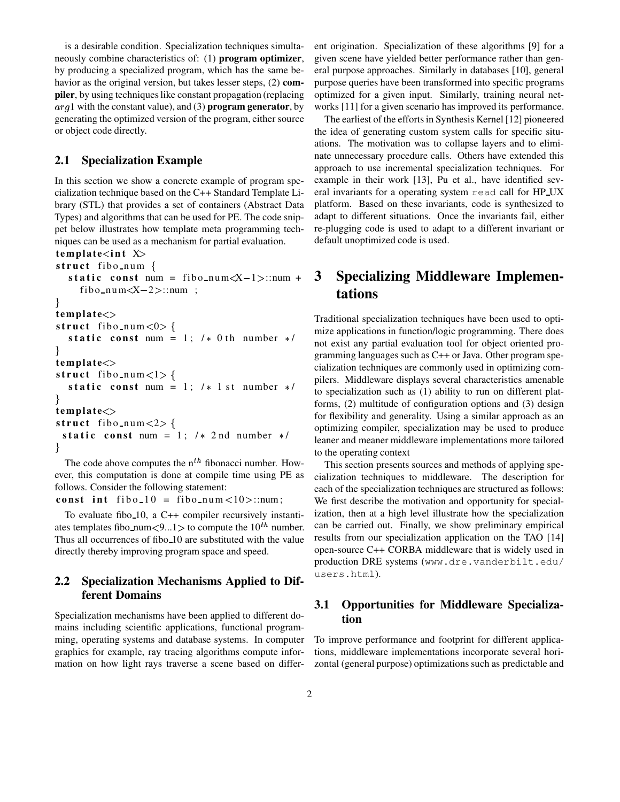is a desirable condition. Specialization techniques simultaneously combine characteristics of: (1) **program optimizer**, by producing a specialized program, which has the same behavior as the original version, but takes lesser steps, (2) **compiler**, by using techniques like constant propagation (replacing  $arg1$  with the constant value), and (3) **program generator**, by generating the optimized version of the program, either source or object code directly.

#### **2.1 Specialization Example**

In this section we show a concrete example of program specialization technique based on the C++ Standard Template Library (STL) that provides a set of containers (Abstract Data Types) and algorithms that can be used for PE. The code snippet below illustrates how template meta programming techniques can be used as a mechanism for partial evaluation.

 $t$ **emplate** $\lt$ **int**  $X$ 

```
struct fibo_num {
```

```
static const num = fibo num\langle X-1\rangle::num + 3
  fibo_num\langle X-2\rangle::num ;
```

```
,
```

```
t emplat e '
struct fibo_num<0> {
  static const num = 1; /* 0th number */,
t emplat e '
struct fibo num < 1 > {
  static const num = 1; /* 1 st number */,
t emplat e '
struct fibo_num <2> {
```
**static const** num = 1;  $/*$  2 nd number  $*/$ ,

The code above computes the  $n^{th}$  fibonacci number. However, this computation is done at compile time using PE as follows. Consider the following statement:

**const** int fibo  $10 =$  fibo num <  $10$  > ::num;

To evaluate fibo 10, a C++ compiler recursively instantiates templates fibo\_num <9...1 > to compute the  $10^{th}$  number. Thus all occurrences of fibo 10 are substituted with the value directly thereby improving program space and speed.

#### **2.2 Specialization Mechanisms Applied to Different Domains**

Specialization mechanisms have been applied to different domains including scientific applications, functional programming, operating systems and database systems. In computer graphics for example, ray tracing algorithms compute information on how light rays traverse a scene based on different origination. Specialization of these algorithms [9] for a given scene have yielded better performance rather than general purpose approaches. Similarly in databases [10], general purpose queries have been transformed into specific programs optimized for a given input. Similarly, training neural networks [11] for a given scenario has improved its performance.

The earliest of the efforts in Synthesis Kernel [12] pioneered the idea of generating custom system calls for specific situations. The motivation was to collapse layers and to eliminate unnecessary procedure calls. Others have extended this approach to use incremental specialization techniques. For example in their work [13], Pu et al., have identified several invariants for a operating system read call for HP UX platform. Based on these invariants, code is synthesized to adapt to different situations. Once the invariants fail, either re-plugging code is used to adapt to a different invariant or default unoptimized code is used.

### **3 Specializing Middleware Implementations**

Traditional specialization techniques have been used to optimize applications in function/logic programming. There does not exist any partial evaluation tool for object oriented programming languages such as C++ or Java. Other program specialization techniques are commonly used in optimizing compilers. Middleware displays several characteristics amenable to specialization such as (1) ability to run on different platforms, (2) multitude of configuration options and (3) design for flexibility and generality. Using a similar approach as an optimizing compiler, specialization may be used to produce leaner and meaner middleware implementations more tailored to the operating context

This section presents sources and methods of applying specialization techniques to middleware. The description for each of the specialization techniques are structured as follows: We first describe the motivation and opportunity for specialization, then at a high level illustrate how the specialization can be carried out. Finally, we show preliminary empirical results from our specialization application on the TAO [14] open-source C++ CORBA middleware that is widely used in production DRE systems (www.dre.vanderbilt.edu/ users.html).

### **3.1 Opportunities for Middleware Specialization**

To improve performance and footprint for different applications, middleware implementations incorporate several horizontal (general purpose) optimizations such as predictable and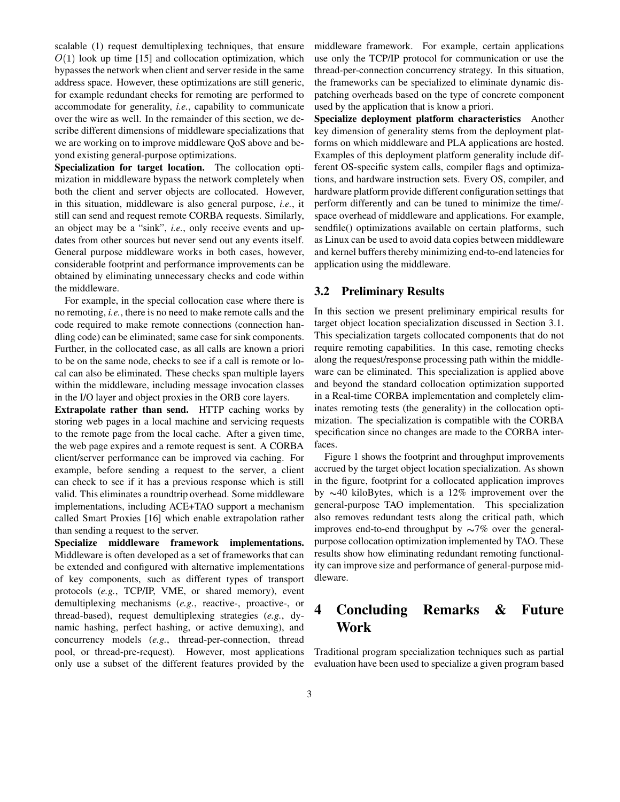scalable (1) request demultiplexing techniques, that ensure  $O(1)$  look up time [15] and collocation optimization, which bypasses the network when client and server reside in the same address space. However, these optimizations are still generic, for example redundant checks for remoting are performed to accommodate for generality, *i.e.*, capability to communicate over the wire as well. In the remainder of this section, we describe different dimensions of middleware specializations that we are working on to improve middleware QoS above and beyond existing general-purpose optimizations.

**Specialization for target location.** The collocation optimization in middleware bypass the network completely when both the client and server objects are collocated. However, in this situation, middleware is also general purpose, *i.e.*, it still can send and request remote CORBA requests. Similarly, an object may be a "sink", *i.e.*, only receive events and updates from other sources but never send out any events itself. General purpose middleware works in both cases, however, considerable footprint and performance improvements can be obtained by eliminating unnecessary checks and code within the middleware.

For example, in the special collocation case where there is no remoting, *i.e.*, there is no need to make remote calls and the code required to make remote connections (connection handling code) can be eliminated; same case for sink components. Further, in the collocated case, as all calls are known a priori to be on the same node, checks to see if a call is remote or local can also be eliminated. These checks span multiple layers within the middleware, including message invocation classes in the I/O layer and object proxies in the ORB core layers.

**Extrapolate rather than send.** HTTP caching works by storing web pages in a local machine and servicing requests to the remote page from the local cache. After a given time, the web page expires and a remote request is sent. A CORBA client/server performance can be improved via caching. For example, before sending a request to the server, a client can check to see if it has a previous response which is still valid. This eliminates a roundtrip overhead. Some middleware implementations, including ACE+TAO support a mechanism called Smart Proxies [16] which enable extrapolation rather than sending a request to the server.

**Specialize middleware framework implementations.** Middleware is often developed as a set of frameworks that can be extended and configured with alternative implementations of key components, such as different types of transport protocols (*e.g.*, TCP/IP, VME, or shared memory), event demultiplexing mechanisms (*e.g.*, reactive-, proactive-, or thread-based), request demultiplexing strategies (*e.g.*, dynamic hashing, perfect hashing, or active demuxing), and concurrency models (*e.g.*, thread-per-connection, thread pool, or thread-pre-request). However, most applications only use a subset of the different features provided by the

middleware framework. For example, certain applications use only the TCP/IP protocol for communication or use the thread-per-connection concurrency strategy. In this situation, the frameworks can be specialized to eliminate dynamic dispatching overheads based on the type of concrete component used by the application that is know a priori.

**Specialize deployment platform characteristics** Another key dimension of generality stems from the deployment platforms on which middleware and PLA applications are hosted. Examples of this deployment platform generality include different OS-specific system calls, compiler flags and optimizations, and hardware instruction sets. Every OS, compiler, and hardware platform provide different configuration settings that perform differently and can be tuned to minimize the time/ space overhead of middleware and applications. For example, sendfile() optimizations available on certain platforms, such as Linux can be used to avoid data copies between middleware and kernel buffers thereby minimizing end-to-end latencies for application using the middleware.

#### **3.2 Preliminary Results**

In this section we present preliminary empirical results for target object location specialization discussed in Section 3.1. This specialization targets collocated components that do not require remoting capabilities. In this case, remoting checks along the request/response processing path within the middleware can be eliminated. This specialization is applied above and beyond the standard collocation optimization supported in a Real-time CORBA implementation and completely eliminates remoting tests (the generality) in the collocation optimization. The specialization is compatible with the CORBA specification since no changes are made to the CORBA interfaces.

Figure 1 shows the footprint and throughput improvements accrued by the target object location specialization. As shown in the figure, footprint for a collocated application improves by  $\sim$ 40 kiloBytes, which is a 12% improvement over the general-purpose TAO implementation. This specialization also removes redundant tests along the critical path, which improves end-to-end throughput by  $\sim 7\%$  over the generalpurpose collocation optimization implemented by TAO. These results show how eliminating redundant remoting functionality can improve size and performance of general-purpose middleware.

## **4 Concluding Remarks & Future Work**

Traditional program specialization techniques such as partial evaluation have been used to specialize a given program based